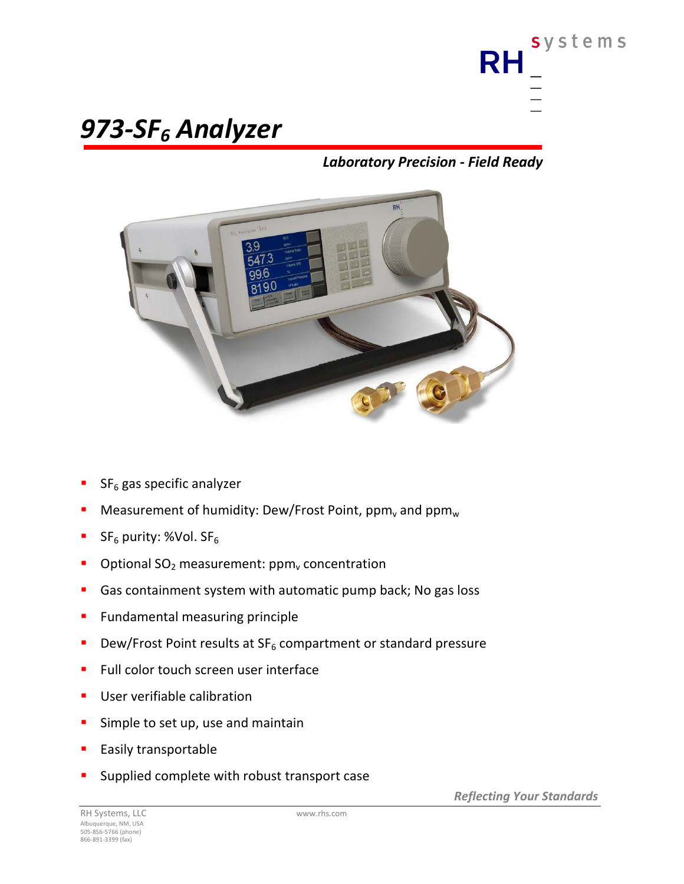

# *973-SF6 Analyzer*

## *Laboratory Precision - Field Ready*



- SF<sub>6</sub> gas specific analyzer
- Measurement of humidity: Dew/Frost Point, ppm, and  $ppm_w$
- SF<sub>6</sub> purity: %Vol. SF<sub>6</sub>
- Optional  $SO_2$  measurement:  $ppm_v$  concentration
- Gas containment system with automatic pump back; No gas loss
- **Fundamental measuring principle**
- **Dew/Frost Point results at SF<sub>6</sub> compartment or standard pressure**
- Full color touch screen user interface
- **User verifiable calibration**
- **Simple to set up, use and maintain**
- Easily transportable
- Supplied complete with robust transport case

*Reflecting Your Standards*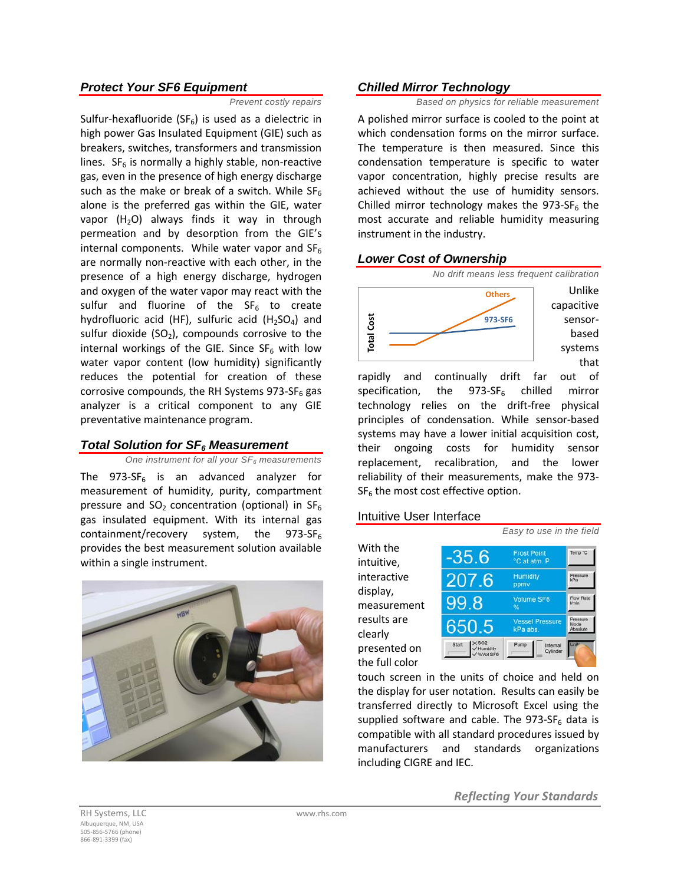#### *Protect Your SF6 Equipment*

*Prevent costly repairs*

Sulfur-hexafluoride ( $SF<sub>6</sub>$ ) is used as a dielectric in high power Gas Insulated Equipment (GIE) such as breakers, switches, transformers and transmission lines.  $SF<sub>6</sub>$  is normally a highly stable, non-reactive gas, even in the presence of high energy discharge such as the make or break of a switch. While  $SF_6$ alone is the preferred gas within the GIE, water vapor  $(H<sub>2</sub>O)$  always finds it way in through permeation and by desorption from the GIE's internal components. While water vapor and  $SF<sub>6</sub>$ are normally non-reactive with each other, in the presence of a high energy discharge, hydrogen and oxygen of the water vapor may react with the sulfur and fluorine of the  $SF<sub>6</sub>$  to create hydrofluoric acid (HF), sulfuric acid (H<sub>2</sub>SO<sub>4</sub>) and sulfur dioxide  $(SO<sub>2</sub>)$ , compounds corrosive to the internal workings of the GIE. Since  $SF_6$  with low water vapor content (low humidity) significantly reduces the potential for creation of these corrosive compounds, the RH Systems 973-SF $<sub>6</sub>$  gas</sub> analyzer is a critical component to any GIE preventative maintenance program.

#### *Total Solution for SF6 Measurement*

#### *One instrument for all your SF6 measurements*

The  $973-SF<sub>6</sub>$  is an advanced analyzer for measurement of humidity, purity, compartment pressure and  $SO_2$  concentration (optional) in  $SF_6$ gas insulated equipment. With its internal gas containment/recovery system, the  $973-SF_6$ provides the best measurement solution available within a single instrument.



#### *Chilled Mirror Technology*

*Based on physics for reliable measurement*

A polished mirror surface is cooled to the point at which condensation forms on the mirror surface. The temperature is then measured. Since this condensation temperature is specific to water vapor concentration, highly precise results are achieved without the use of humidity sensors. Chilled mirror technology makes the 973-SF $<sub>6</sub>$  the</sub> most accurate and reliable humidity measuring instrument in the industry.

#### *Lower Cost of Ownership*



rapidly and continually drift far out of specification, the  $973-SF<sub>6</sub>$  chilled mirror technology relies on the drift-free physical principles of condensation. While sensor-based systems may have a lower initial acquisition cost, their ongoing costs for humidity sensor replacement, recalibration, and the lower reliability of their measurements, make the 973-  $SF<sub>6</sub>$  the most cost effective option.

#### Intuitive User Interface

With the intuitive, interactive display, measurement results are clearly presented on the full color



touch screen in the units of choice and held on the display for user notation. Results can easily be transferred directly to Microsoft Excel using the supplied software and cable. The  $973-SF_6$  data is compatible with all standard procedures issued by manufacturers and standards organizations including CIGRE and IEC.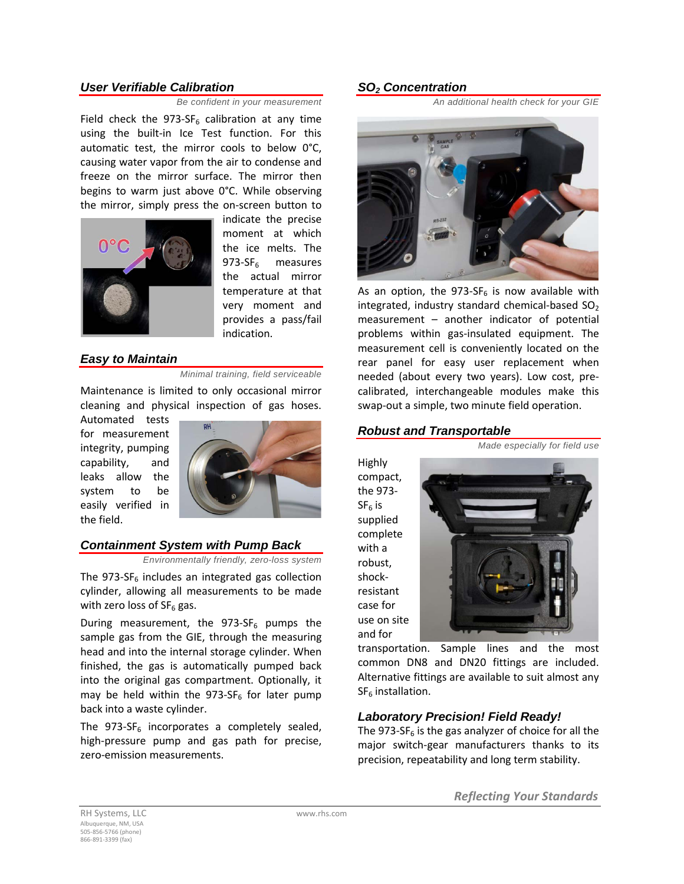#### *User Verifiable Calibration*

*Be confident in your measurement* 

Field check the 973-SF<sub>6</sub> calibration at any time using the built-in Ice Test function. For this automatic test, the mirror cools to below 0°C, causing water vapor from the air to condense and freeze on the mirror surface. The mirror then begins to warm just above 0°C. While observing the mirror, simply press the on-screen button to



indicate the precise moment at which the ice melts. The  $973-SF<sub>6</sub>$  measures the actual mirror temperature at that very moment and provides a pass/fail indication.

#### *Easy to Maintain*

*Minimal training, field serviceable*

Maintenance is limited to only occasional mirror cleaning and physical inspection of gas hoses.

Automated tests for measurement integrity, pumping capability, and leaks allow the system to be easily verified in the field.



#### *Containment System with Pump Back*

*Environmentally friendly, zero-loss system*

The  $973-SF_6$  includes an integrated gas collection cylinder, allowing all measurements to be made with zero loss of  $SF<sub>6</sub>$  gas.

During measurement, the  $973-SF<sub>6</sub>$  pumps the sample gas from the GIE, through the measuring head and into the internal storage cylinder. When finished, the gas is automatically pumped back into the original gas compartment. Optionally, it may be held within the 973-SF<sub>6</sub> for later pump back into a waste cylinder.

The  $973-SF<sub>6</sub>$  incorporates a completely sealed, high-pressure pump and gas path for precise, zero-emission measurements.

#### *SO2 Concentration*

*An additional health check for your GIE*



As an option, the 973-SF $_6$  is now available with integrated, industry standard chemical-based  $SO<sub>2</sub>$ measurement – another indicator of potential problems within gas-insulated equipment. The measurement cell is conveniently located on the rear panel for easy user replacement when needed (about every two years). Low cost, precalibrated, interchangeable modules make this swap-out a simple, two minute field operation.

#### *Robust and Transportable*

*Made especially for field use*

Highly compact, the 973-  $SF<sub>6</sub>$  is supplied complete with a robust, shockresistant case for use on site and for



transportation. Sample lines and the most common DN8 and DN20 fittings are included. Alternative fittings are available to suit almost any  $SF<sub>6</sub>$  installation.

### *Laboratory Precision! Field Ready!*

The 973-SF $_6$  is the gas analyzer of choice for all the major switch-gear manufacturers thanks to its precision, repeatability and long term stability.